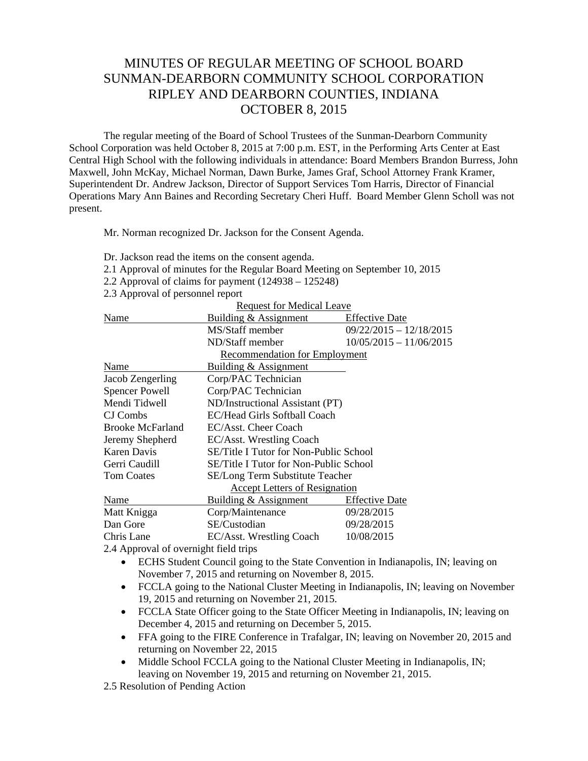## MINUTES OF REGULAR MEETING OF SCHOOL BOARD SUNMAN-DEARBORN COMMUNITY SCHOOL CORPORATION RIPLEY AND DEARBORN COUNTIES, INDIANA OCTOBER 8, 2015

The regular meeting of the Board of School Trustees of the Sunman-Dearborn Community School Corporation was held October 8, 2015 at 7:00 p.m. EST, in the Performing Arts Center at East Central High School with the following individuals in attendance: Board Members Brandon Burress, John Maxwell, John McKay, Michael Norman, Dawn Burke, James Graf, School Attorney Frank Kramer, Superintendent Dr. Andrew Jackson, Director of Support Services Tom Harris, Director of Financial Operations Mary Ann Baines and Recording Secretary Cheri Huff. Board Member Glenn Scholl was not present.

Mr. Norman recognized Dr. Jackson for the Consent Agenda.

- Dr. Jackson read the items on the consent agenda.
- 2.1 Approval of minutes for the Regular Board Meeting on September 10, 2015
- 2.2 Approval of claims for payment (124938 125248)
- 2.3 Approval of personnel report

|                                       | <b>Request for Medical Leave</b>       |                           |
|---------------------------------------|----------------------------------------|---------------------------|
| Name                                  | Building & Assignment                  | <b>Effective Date</b>     |
|                                       | MS/Staff member                        | $09/22/2015 - 12/18/2015$ |
|                                       | ND/Staff member                        | $10/05/2015 - 11/06/2015$ |
|                                       | <b>Recommendation for Employment</b>   |                           |
| Name                                  | Building & Assignment                  |                           |
| Jacob Zengerling                      | Corp/PAC Technician                    |                           |
| <b>Spencer Powell</b>                 | Corp/PAC Technician                    |                           |
| Mendi Tidwell                         | ND/Instructional Assistant (PT)        |                           |
| CJ Combs                              | EC/Head Girls Softball Coach           |                           |
| <b>Brooke McFarland</b>               | EC/Asst. Cheer Coach                   |                           |
| Jeremy Shepherd                       | EC/Asst. Wrestling Coach               |                           |
| Karen Davis                           | SE/Title I Tutor for Non-Public School |                           |
| Gerri Caudill                         | SE/Title I Tutor for Non-Public School |                           |
| <b>Tom Coates</b>                     | <b>SE/Long Term Substitute Teacher</b> |                           |
|                                       | <b>Accept Letters of Resignation</b>   |                           |
| Name                                  | Building & Assignment                  | <b>Effective Date</b>     |
| Matt Knigga                           | Corp/Maintenance                       | 09/28/2015                |
| Dan Gore                              | SE/Custodian                           | 09/28/2015                |
| Chris Lane                            | EC/Asst. Wrestling Coach               | 10/08/2015                |
| 2.4 Approval of overnight field trips |                                        |                           |

- ECHS Student Council going to the State Convention in Indianapolis, IN; leaving on November 7, 2015 and returning on November 8, 2015.
- FCCLA going to the National Cluster Meeting in Indianapolis, IN; leaving on November 19, 2015 and returning on November 21, 2015.
- FCCLA State Officer going to the State Officer Meeting in Indianapolis, IN; leaving on December 4, 2015 and returning on December 5, 2015.
- FFA going to the FIRE Conference in Trafalgar, IN; leaving on November 20, 2015 and returning on November 22, 2015
- Middle School FCCLA going to the National Cluster Meeting in Indianapolis, IN; leaving on November 19, 2015 and returning on November 21, 2015.
- 2.5 Resolution of Pending Action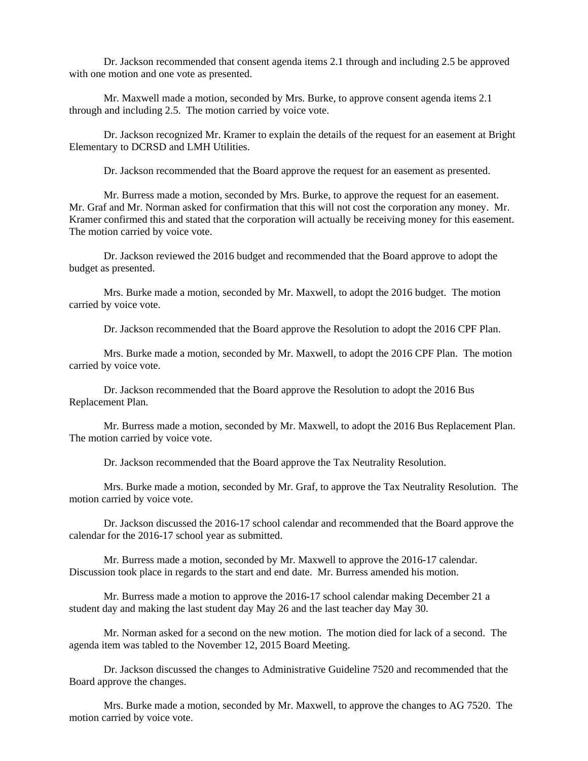Dr. Jackson recommended that consent agenda items 2.1 through and including 2.5 be approved with one motion and one vote as presented.

 Mr. Maxwell made a motion, seconded by Mrs. Burke, to approve consent agenda items 2.1 through and including 2.5. The motion carried by voice vote.

 Dr. Jackson recognized Mr. Kramer to explain the details of the request for an easement at Bright Elementary to DCRSD and LMH Utilities.

Dr. Jackson recommended that the Board approve the request for an easement as presented.

 Mr. Burress made a motion, seconded by Mrs. Burke, to approve the request for an easement. Mr. Graf and Mr. Norman asked for confirmation that this will not cost the corporation any money. Mr. Kramer confirmed this and stated that the corporation will actually be receiving money for this easement. The motion carried by voice vote.

 Dr. Jackson reviewed the 2016 budget and recommended that the Board approve to adopt the budget as presented.

 Mrs. Burke made a motion, seconded by Mr. Maxwell, to adopt the 2016 budget. The motion carried by voice vote.

Dr. Jackson recommended that the Board approve the Resolution to adopt the 2016 CPF Plan.

 Mrs. Burke made a motion, seconded by Mr. Maxwell, to adopt the 2016 CPF Plan. The motion carried by voice vote.

 Dr. Jackson recommended that the Board approve the Resolution to adopt the 2016 Bus Replacement Plan.

 Mr. Burress made a motion, seconded by Mr. Maxwell, to adopt the 2016 Bus Replacement Plan. The motion carried by voice vote.

Dr. Jackson recommended that the Board approve the Tax Neutrality Resolution.

 Mrs. Burke made a motion, seconded by Mr. Graf, to approve the Tax Neutrality Resolution. The motion carried by voice vote.

 Dr. Jackson discussed the 2016-17 school calendar and recommended that the Board approve the calendar for the 2016-17 school year as submitted.

 Mr. Burress made a motion, seconded by Mr. Maxwell to approve the 2016-17 calendar. Discussion took place in regards to the start and end date. Mr. Burress amended his motion.

 Mr. Burress made a motion to approve the 2016-17 school calendar making December 21 a student day and making the last student day May 26 and the last teacher day May 30.

 Mr. Norman asked for a second on the new motion. The motion died for lack of a second. The agenda item was tabled to the November 12, 2015 Board Meeting.

 Dr. Jackson discussed the changes to Administrative Guideline 7520 and recommended that the Board approve the changes.

 Mrs. Burke made a motion, seconded by Mr. Maxwell, to approve the changes to AG 7520. The motion carried by voice vote.